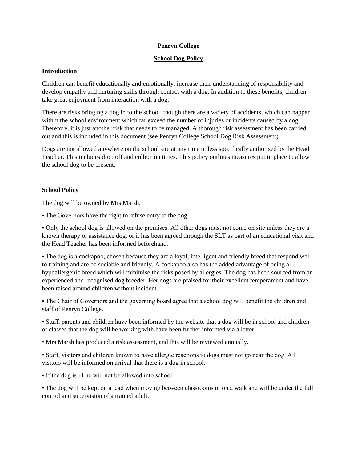# **Penryn College**

### **School Dog Policy**

## **Introduction**

Children can benefit educationally and emotionally, increase their understanding of responsibility and develop empathy and nurturing skills through contact with a dog. In addition to these benefits, children take great enjoyment from interaction with a dog.

There are risks bringing a dog in to the school, though there are a variety of accidents, which can happen within the school environment which far exceed the number of injuries or incidents caused by a dog. Therefore, it is just another risk that needs to be managed. A thorough risk assessment has been carried out and this is included in this document (see Penryn College School Dog Risk Assessment).

Dogs are not allowed anywhere on the school site at any time unless specifically authorised by the Head Teacher. This includes drop off and collection times. This policy outlines measures put in place to allow the school dog to be present.

## **School Policy**

The dog will be owned by Mrs Marsh.

• The Governors have the right to refuse entry to the dog.

• Only the school dog is allowed on the premises. All other dogs must not come on site unless they are a known therapy or assistance dog, or it has been agreed through the SLT as part of an educational visit and the Head Teacher has been informed beforehand.

• The dog is a cockapoo, chosen because they are a loyal, intelligent and friendly breed that respond well to training and are be sociable and friendly. A cockapoo also has the added advantage of being a hypoallergenic breed which will minimise the risks posed by allergies. The dog has been sourced from an experienced and recognised dog breeder. Her dogs are praised for their excellent temperament and have been raised around children without incident.

• The Chair of Governors and the governing board agree that a school dog will benefit the children and staff of Penryn College.

• Staff, parents and children have been informed by the website that a dog will be in school and children of classes that the dog will be working with have been further informed via a letter.

• Mrs Marsh has produced a risk assessment, and this will be reviewed annually.

• Staff, visitors and children known to have allergic reactions to dogs must not go near the dog. All visitors will be informed on arrival that there is a dog in school.

• If the dog is ill he will not be allowed into school.

• The dog will be kept on a lead when moving between classrooms or on a walk and will be under the full control and supervision of a trained adult.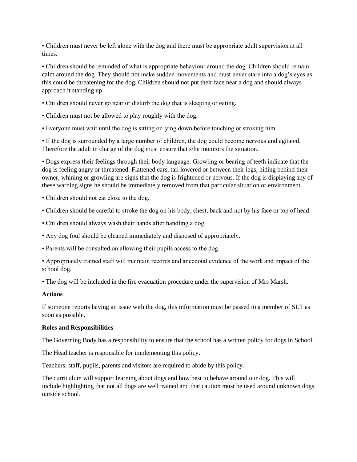• Children must never be left alone with the dog and there must be appropriate adult supervision at all times.

• Children should be reminded of what is appropriate behaviour around the dog. Children should remain calm around the dog. They should not make sudden movements and must never stare into a dog's eyes as this could be threatening for the dog. Children should not put their face near a dog and should always approach it standing up.

- Children should never go near or disturb the dog that is sleeping or eating.
- Children must not be allowed to play roughly with the dog.
- Everyone must wait until the dog is sitting or lying down before touching or stroking him.

• If the dog is surrounded by a large number of children, the dog could become nervous and agitated. Therefore the adult in charge of the dog must ensure that s/he monitors the situation.

• Dogs express their feelings through their body language. Growling or bearing of teeth indicate that the dog is feeling angry or threatened. Flattened ears, tail lowered or between their legs, hiding behind their owner, whining or growling are signs that the dog is frightened or nervous. If the dog is displaying any of these warning signs he should be immediately removed from that particular situation or environment.

- Children should not eat close to the dog.
- Children should be careful to stroke the dog on his body, chest, back and not by his face or top of head.
- Children should always wash their hands after handling a dog.
- Any dog foul should be cleaned immediately and disposed of appropriately.
- Parents will be consulted on allowing their pupils access to the dog.
- Appropriately trained staff will maintain records and anecdotal evidence of the work and impact of the school dog.

• The dog will be included in the fire evacuation procedure under the supervision of Mrs Marsh.

#### **Actions**

If someone reports having an issue with the dog, this information must be passed to a member of SLT as soon as possible.

#### **Roles and Responsibilities**

The Governing Body has a responsibility to ensure that the school has a written policy for dogs in School.

The Head teacher is responsible for implementing this policy.

Teachers, staff, pupils, parents and visitors are required to abide by this policy.

The curriculum will support learning about dogs and how best to behave around our dog. This will include highlighting that not all dogs are well trained and that caution must be used around unknown dogs outside school.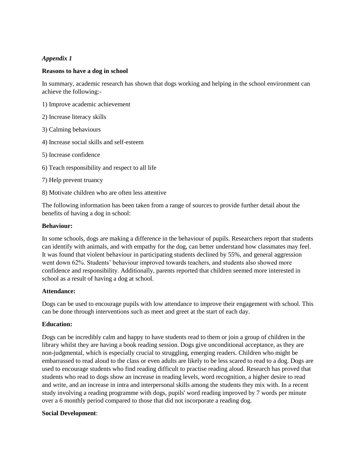# *Appendix 1*

## **Reasons to have a dog in school**

In summary, academic research has shown that dogs working and helping in the school environment can achieve the following:-

- 1) Improve academic achievement
- 2) Increase literacy skills
- 3) Calming behaviours
- 4) Increase social skills and self-esteem
- 5) Increase confidence
- 6) Teach responsibility and respect to all life
- 7) Help prevent truancy
- 8) Motivate children who are often less attentive

The following information has been taken from a range of sources to provide further detail about the benefits of having a dog in school:

#### **Behaviour:**

In some schools, dogs are making a difference in the behaviour of pupils. Researchers report that students can identify with animals, and with empathy for the dog, can better understand how classmates may feel. It was found that violent behaviour in participating students declined by 55%, and general aggression went down 62%. Students' behaviour improved towards teachers, and students also showed more confidence and responsibility. Additionally, parents reported that children seemed more interested in school as a result of having a dog at school.

#### **Attendance:**

Dogs can be used to encourage pupils with low attendance to improve their engagement with school. This can be done through interventions such as meet and greet at the start of each day.

## **Education:**

Dogs can be incredibly calm and happy to have students read to them or join a group of children in the library whilst they are having a book reading session. Dogs give unconditional acceptance, as they are non-judgmental, which is especially crucial to struggling, emerging readers. Children who might be embarrassed to read aloud to the class or even adults are likely to be less scared to read to a dog. Dogs are used to encourage students who find reading difficult to practise reading aloud. Research has proved that students who read to dogs show an increase in reading levels, word recognition, a higher desire to read and write, and an increase in intra and interpersonal skills among the students they mix with. In a recent study involving a reading programme with dogs, pupils' word reading improved by 7 words per minute over a 6 monthly period compared to those that did not incorporate a reading dog.

#### **Social Development**: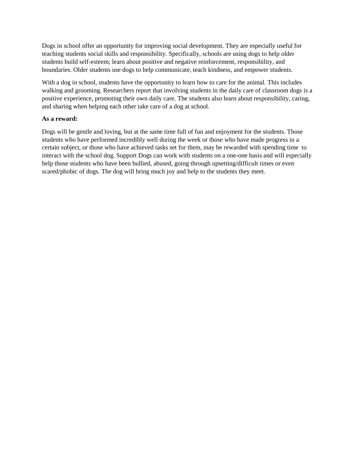Dogs in school offer an opportunity for improving social development. They are especially useful for teaching students social skills and responsibility. Specifically, schools are using dogs to help older students build self-esteem; learn about positive and negative reinforcement, responsibility, and boundaries. Older students use dogs to help communicate, teach kindness, and empower students.

With a dog in school, students have the opportunity to learn how to care for the animal. This includes walking and grooming. Researchers report that involving students in the daily care of classroom dogs is a positive experience, promoting their own daily care. The students also learn about responsibility, caring, and sharing when helping each other take care of a dog at school.

## **As a reward:**

Dogs will be gentle and loving, but at the same time full of fun and enjoyment for the students. Those students who have performed incredibly well during the week or those who have made progress in a certain subject, or those who have achieved tasks set for them, may be rewarded with spending time to interact with the school dog. Support Dogs can work with students on a one-one basis and will especially help those students who have been bullied, abused, going through upsetting/difficult times or even scared/phobic of dogs. The dog will bring much joy and help to the students they meet.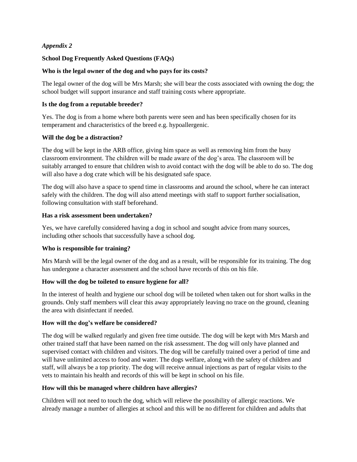# *Appendix 2*

# **School Dog Frequently Asked Questions (FAQs)**

# **Who is the legal owner of the dog and who pays for its costs?**

The legal owner of the dog will be Mrs Marsh; she will bear the costs associated with owning the dog; the school budget will support insurance and staff training costs where appropriate.

# **Is the dog from a reputable breeder?**

Yes. The dog is from a home where both parents were seen and has been specifically chosen for its temperament and characteristics of the breed e.g. hypoallergenic.

# **Will the dog be a distraction?**

The dog will be kept in the ARB office, giving him space as well as removing him from the busy classroom environment. The children will be made aware of the dog's area. The classroom will be suitably arranged to ensure that children wish to avoid contact with the dog will be able to do so. The dog will also have a dog crate which will be his designated safe space.

The dog will also have a space to spend time in classrooms and around the school, where he can interact safely with the children. The dog will also attend meetings with staff to support further socialisation, following consultation with staff beforehand.

# **Has a risk assessment been undertaken?**

Yes, we have carefully considered having a dog in school and sought advice from many sources, including other schools that successfully have a school dog.

# **Who is responsible for training?**

Mrs Marsh will be the legal owner of the dog and as a result, will be responsible for its training. The dog has undergone a character assessment and the school have records of this on his file.

# **How will the dog be toileted to ensure hygiene for all?**

In the interest of health and hygiene our school dog will be toileted when taken out for short walks in the grounds. Only staff members will clear this away appropriately leaving no trace on the ground, cleaning the area with disinfectant if needed.

# **How will the dog's welfare be considered?**

The dog will be walked regularly and given free time outside. The dog will be kept with Mrs Marsh and other trained staff that have been named on the risk assessment. The dog will only have planned and supervised contact with children and visitors. The dog will be carefully trained over a period of time and will have unlimited access to food and water. The dogs welfare, along with the safety of children and staff, will always be a top priority. The dog will receive annual injections as part of regular visits to the vets to maintain his health and records of this will be kept in school on his file.

# **How will this be managed where children have allergies?**

Children will not need to touch the dog, which will relieve the possibility of allergic reactions. We already manage a number of allergies at school and this will be no different for children and adults that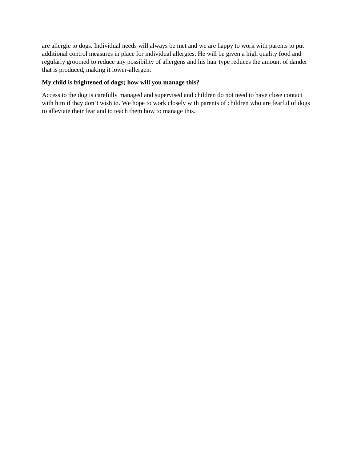are allergic to dogs. Individual needs will always be met and we are happy to work with parents to put additional control measures in place for individual allergies. He will be given a high quality food and regularly groomed to reduce any possibility of allergens and his hair type reduces the amount of dander that is produced, making it lower-allergen.

# **My child is frightened of dogs; how will you manage this?**

Access to the dog is carefully managed and supervised and children do not need to have close contact with him if they don't wish to. We hope to work closely with parents of children who are fearful of dogs to alleviate their fear and to teach them how to manage this.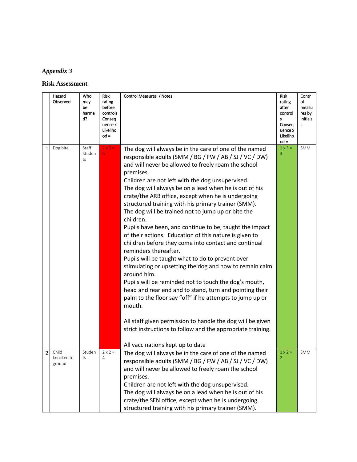# *Appendix 3*

**Risk Assessment**

| rating<br>after<br>control<br>Consea<br>uence x<br>Likeliho<br>$od =$<br>$1 \times 3 =$ | ol<br>measu<br>res by<br>initials<br>$\ddot{\phantom{a}}$<br><b>SMM</b> |
|-----------------------------------------------------------------------------------------|-------------------------------------------------------------------------|
|                                                                                         |                                                                         |
|                                                                                         |                                                                         |
|                                                                                         |                                                                         |
|                                                                                         |                                                                         |
|                                                                                         |                                                                         |
|                                                                                         |                                                                         |
|                                                                                         |                                                                         |
|                                                                                         |                                                                         |
|                                                                                         |                                                                         |
|                                                                                         |                                                                         |
|                                                                                         |                                                                         |
|                                                                                         |                                                                         |
|                                                                                         |                                                                         |
|                                                                                         |                                                                         |
|                                                                                         |                                                                         |
|                                                                                         |                                                                         |
|                                                                                         |                                                                         |
|                                                                                         |                                                                         |
|                                                                                         |                                                                         |
|                                                                                         |                                                                         |
|                                                                                         |                                                                         |
|                                                                                         |                                                                         |
|                                                                                         |                                                                         |
|                                                                                         |                                                                         |
|                                                                                         |                                                                         |
|                                                                                         |                                                                         |
|                                                                                         |                                                                         |
|                                                                                         |                                                                         |
|                                                                                         |                                                                         |
|                                                                                         |                                                                         |
|                                                                                         |                                                                         |
|                                                                                         |                                                                         |
| $1 \times 2 =$                                                                          | <b>SMM</b>                                                              |
|                                                                                         |                                                                         |
|                                                                                         |                                                                         |
|                                                                                         |                                                                         |
|                                                                                         |                                                                         |
|                                                                                         |                                                                         |
|                                                                                         |                                                                         |
|                                                                                         |                                                                         |
|                                                                                         |                                                                         |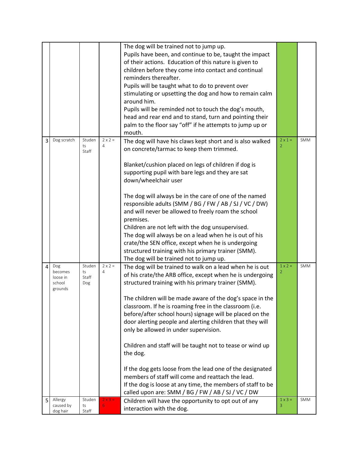|   |                       |             |                | The dog will be trained not to jump up.                     |                |            |
|---|-----------------------|-------------|----------------|-------------------------------------------------------------|----------------|------------|
|   |                       |             |                | Pupils have been, and continue to be, taught the impact     |                |            |
|   |                       |             |                | of their actions. Education of this nature is given to      |                |            |
|   |                       |             |                | children before they come into contact and continual        |                |            |
|   |                       |             |                | reminders thereafter.                                       |                |            |
|   |                       |             |                | Pupils will be taught what to do to prevent over            |                |            |
|   |                       |             |                | stimulating or upsetting the dog and how to remain calm     |                |            |
|   |                       |             |                | around him.                                                 |                |            |
|   |                       |             |                | Pupils will be reminded not to touch the dog's mouth,       |                |            |
|   |                       |             |                | head and rear end and to stand, turn and pointing their     |                |            |
|   |                       |             |                | palm to the floor say "off" if he attempts to jump up or    |                |            |
|   |                       |             |                | mouth.                                                      |                |            |
| 3 | Dog scratch           | Studen      | $2 \times 2 =$ | The dog will have his claws kept short and is also walked   | $2 \times 1 =$ | <b>SMM</b> |
|   |                       | ts<br>Staff | 4              | on concrete/tarmac to keep them trimmed.                    | 2              |            |
|   |                       |             |                | Blanket/cushion placed on legs of children if dog is        |                |            |
|   |                       |             |                | supporting pupil with bare legs and they are sat            |                |            |
|   |                       |             |                | down/wheelchair user                                        |                |            |
|   |                       |             |                | The dog will always be in the care of one of the named      |                |            |
|   |                       |             |                | responsible adults (SMM / BG / FW / AB / SJ / VC / DW)      |                |            |
|   |                       |             |                | and will never be allowed to freely roam the school         |                |            |
|   |                       |             |                | premises.                                                   |                |            |
|   |                       |             |                | Children are not left with the dog unsupervised.            |                |            |
|   |                       |             |                | The dog will always be on a lead when he is out of his      |                |            |
|   |                       |             |                | crate/the SEN office, except when he is undergoing          |                |            |
|   |                       |             |                | structured training with his primary trainer (SMM).         |                |            |
|   |                       |             |                | The dog will be trained not to jump up.                     |                |            |
| 4 | Dog                   | Studen      | $2 \times 2 =$ | The dog will be trained to walk on a lead when he is out    | $1 \times 2 =$ | SMM        |
|   | becomes<br>loose in   | ts<br>Staff | 4              | of his crate/the ARB office, except when he is undergoing   |                |            |
|   | school<br>grounds     | Dog         |                | structured training with his primary trainer (SMM).         |                |            |
|   |                       |             |                | The children will be made aware of the dog's space in the   |                |            |
|   |                       |             |                | classroom. If he is roaming free in the classroom (i.e.     |                |            |
|   |                       |             |                | before/after school hours) signage will be placed on the    |                |            |
|   |                       |             |                | door alerting people and alerting children that they will   |                |            |
|   |                       |             |                | only be allowed in under supervision.                       |                |            |
|   |                       |             |                | Children and staff will be taught not to tease or wind up   |                |            |
|   |                       |             |                | the dog.                                                    |                |            |
|   |                       |             |                | If the dog gets loose from the lead one of the designated   |                |            |
|   |                       |             |                | members of staff will come and reattach the lead.           |                |            |
|   |                       |             |                | If the dog is loose at any time, the members of staff to be |                |            |
|   |                       |             |                | called upon are: SMM / BG / FW / AB / SJ / VC / DW          |                |            |
| 5 | Allergy               | Studen      | $2x3 =$        | Children will have the opportunity to opt out of any        | $1 \times 3 =$ | SMM        |
|   | caused by<br>dog hair | ts<br>Staff | 6              | interaction with the dog.                                   | 3              |            |